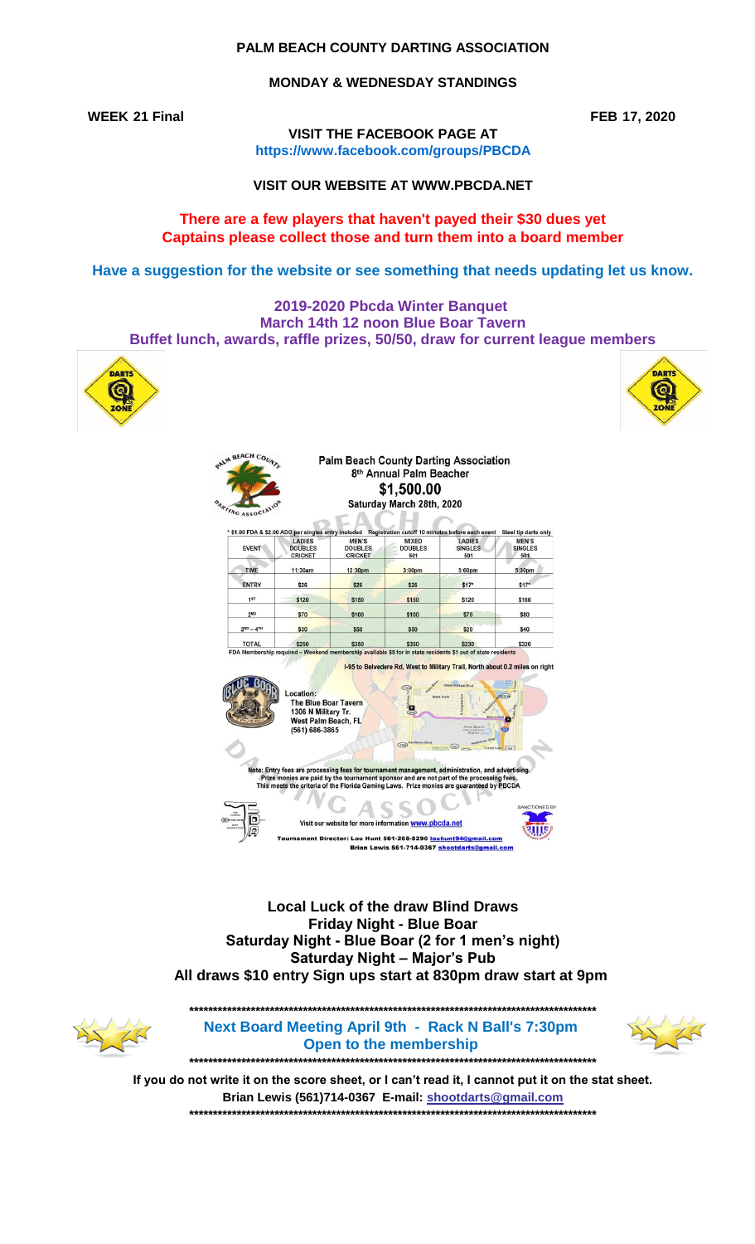## PALM BEACH COUNTY DARTING ASSOCIATION

### **MONDAY & WEDNESDAY STANDINGS**

**WEEK 21 Final** 

FEB 17, 2020

VISIT THE FACEBOOK PAGE AT https://www.facebook.com/groups/PBCDA

VISIT OUR WEBSITE AT WWW.PBCDA.NET

## There are a few players that haven't payed their \$30 dues yet Captains please collect those and turn them into a board member

Have a suggestion for the website or see something that needs updating let us know.

2019-2020 Pbcda Winter Banquet March 14th 12 noon Blue Boar Tavern Buffet lunch, awards, raffle prizes, 50/50, draw for current league members

**Palm Beach County Darting Association** 



PALM BEACH COUNTY



| <b>EVENT</b>                | LADIES<br><b>DOUBLES</b><br><b>CRICKET</b>                                                               | * \$1.00 FDA & \$2.00 ADO per singles entry included Registration cutoff 10 minutes before each event<br><b>MEN'S</b><br><b>DOUBLES</b><br><b>CRICKET</b> | <b>MIXED</b><br><b>DOUBLES</b><br>501                                                 | <b>LADIES</b><br><b>SINGLES</b><br>501 | Steel tip darts only<br><b>MEN'S</b><br><b>SINGLES</b><br>501 |
|-----------------------------|----------------------------------------------------------------------------------------------------------|-----------------------------------------------------------------------------------------------------------------------------------------------------------|---------------------------------------------------------------------------------------|----------------------------------------|---------------------------------------------------------------|
| <b>TIME</b>                 | 11:30am                                                                                                  | 12:30pm                                                                                                                                                   | 3:00 <sub>pm</sub>                                                                    | 5:00 <sub>pm</sub>                     | 5:30pm                                                        |
| <b>ENTRY</b>                | \$26                                                                                                     | \$26                                                                                                                                                      | \$26                                                                                  | $$17*$                                 | $$17*$                                                        |
| 1 <sup>ST</sup>             | \$120                                                                                                    | \$150                                                                                                                                                     | \$150                                                                                 | \$120                                  | \$160                                                         |
| 2 <sub>ND</sub>             | \$70                                                                                                     | \$100                                                                                                                                                     | \$100                                                                                 | \$70                                   | \$80                                                          |
|                             |                                                                                                          |                                                                                                                                                           |                                                                                       |                                        |                                                               |
|                             | \$30                                                                                                     | \$50                                                                                                                                                      | \$50                                                                                  | \$20                                   | \$40                                                          |
| $3RD - 4TH$<br><b>TOTAL</b> | \$250                                                                                                    | \$350<br>FDA Membership required - Weekend membership available \$5 for in state residents \$1 out of state residents                                     | \$350<br>1-95 to Belvedere Rd, West to Military Trail, North about 0.2 miles on right | \$230                                  |                                                               |
|                             | Location:<br><b>The Blue Boar Tavern</b><br>1306 N Military Tr.<br>West Palm Beach, FL<br>(561) 686-3865 |                                                                                                                                                           | Ð                                                                                     | Vest Oat                               | \$320                                                         |
|                             |                                                                                                          |                                                                                                                                                           | (700)                                                                                 |                                        |                                                               |

**Local Luck of the draw Blind Draws Friday Night - Blue Boar** Saturday Night - Blue Boar (2 for 1 men's night) **Saturday Night - Major's Pub** All draws \$10 entry Sign ups start at 830pm draw start at 9pm



Next Board Meeting April 9th - Rack N Ball's 7:30pm Open to the membership 



If you do not write it on the score sheet, or I can't read it, I cannot put it on the stat sheet. Brian Lewis (561)714-0367 E-mail: shootdarts@gmail.com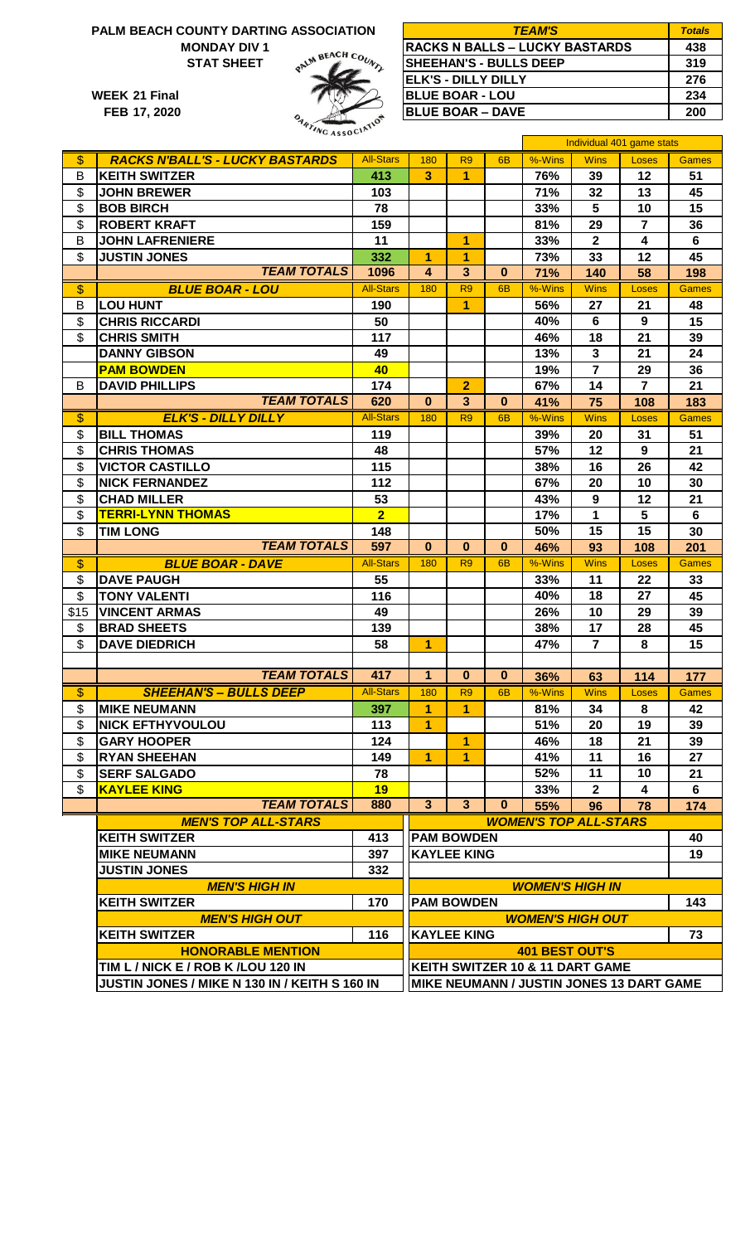# **PALM BEACH COUNTY DARTING ASSOCIATION**





| BEACH COUNTY DARTING ASSOCIATION |                   | <b>TEAM'S</b>                         | <b>Totals</b> |
|----------------------------------|-------------------|---------------------------------------|---------------|
| <b>MONDAY DIV1</b>               |                   | <b>RACKS N BALLS - LUCKY BASTARDS</b> | 438           |
| <b>STAT SHEET</b>                | alm BEACH Co.     | <b>SHEEHAN'S - BULLS DEEP</b>         | 319           |
|                                  |                   | IELK'S - DILLY DILLY                  | 276           |
| 21 Final                         |                   | <b>IBLUE BOAR - LOU</b>               | 234           |
| 17. 2020                         | $\mathcal{Q}_{a}$ | <b>IBLUE BOAR – DAVE</b>              | 200           |

|                           |                                               |                        |                                          |                      |                |                                 | Individual 401 game stats |                |              |
|---------------------------|-----------------------------------------------|------------------------|------------------------------------------|----------------------|----------------|---------------------------------|---------------------------|----------------|--------------|
| $\boldsymbol{\mathsf{S}}$ | <b>RACKS N'BALL'S - LUCKY BASTARDS</b>        | <b>All-Stars</b>       | 180                                      | R <sub>9</sub>       | 6 <sub>B</sub> | $%-Wins$                        | <b>Wins</b>               | Loses          | <b>Games</b> |
| B                         | <b>KEITH SWITZER</b>                          | 413                    | $\overline{3}$                           | $\blacktriangleleft$ |                | 76%                             | 39                        | 12             | 51           |
| \$                        | <b>JOHN BREWER</b>                            | 103                    |                                          |                      |                | 71%                             | 32                        | 13             | 45           |
| \$                        | <b>BOB BIRCH</b>                              | 78                     |                                          |                      |                | 33%                             | $5\phantom{.0}$           | 10             | 15           |
| \$                        | <b>ROBERT KRAFT</b>                           | 159                    |                                          |                      |                | 81%                             | 29                        | $\overline{7}$ | 36           |
| B                         | <b>JOHN LAFRENIERE</b>                        | 11                     |                                          | 1                    |                | 33%                             | $\mathbf 2$               | 4              | 6            |
| \$                        | <b>JUSTIN JONES</b>                           | 332                    | 1                                        | 1                    |                | 73%                             | 33                        | 12             | 45           |
|                           | <b>TEAM TOTALS</b>                            | 1096                   | 4                                        | $\overline{3}$       | $\bf{0}$       | 71%                             | 140                       | 58             | 198          |
| $\frac{1}{2}$             | <b>BLUE BOAR - LOU</b>                        | <b>All-Stars</b>       | 180                                      | R <sub>9</sub>       | 6 <sub>B</sub> | %-Wins                          | <b>Wins</b>               | Loses          | <b>Games</b> |
| B                         | <b>LOU HUNT</b>                               | 190                    |                                          | 1                    |                | 56%                             | 27                        | 21             | 48           |
| \$                        | <b>CHRIS RICCARDI</b>                         | 50                     |                                          |                      |                | 40%                             | 6                         | 9              | 15           |
| \$                        | <b>CHRIS SMITH</b>                            | 117                    |                                          |                      |                | 46%                             | 18                        | 21             | 39           |
|                           | <b>DANNY GIBSON</b>                           | 49                     |                                          |                      |                | 13%                             | $\mathbf{3}$              | 21             | 24           |
|                           | <b>PAM BOWDEN</b>                             | 40                     |                                          |                      |                | 19%                             | $\overline{7}$            | 29             | 36           |
| B                         | <b>DAVID PHILLIPS</b>                         | 174                    |                                          | $\overline{2}$       |                | 67%                             | 14                        | $\overline{7}$ | 21           |
|                           | <b>TEAM TOTALS</b>                            | 620                    | $\mathbf{0}$                             | $\overline{3}$       | $\bf{0}$       | 41%                             | 75                        | 108            | 183          |
| \$                        | <b>ELK'S - DILLY DILLY</b>                    | <b>All-Stars</b>       | 180                                      | R <sub>9</sub>       | 6 <sub>B</sub> | %-Wins                          | <b>Wins</b>               | Loses          | Games        |
| \$                        | <b>BILL THOMAS</b>                            | 119                    |                                          |                      |                | 39%                             | 20                        | 31             | 51           |
| \$                        | <b>CHRIS THOMAS</b>                           | 48                     |                                          |                      |                | 57%                             | 12                        | 9              | 21           |
| \$                        | <b>VICTOR CASTILLO</b>                        | 115                    |                                          |                      |                | 38%                             | 16                        | 26             | 42           |
| \$                        | <b>NICK FERNANDEZ</b>                         | 112                    |                                          |                      |                | 67%                             | 20                        | 10             | 30           |
| \$                        | <b>CHAD MILLER</b>                            | 53                     |                                          |                      |                | 43%                             | 9                         | 12             | 21           |
| \$                        | <b>TERRI-LYNN THOMAS</b>                      | $\overline{2}$         |                                          |                      |                | 17%                             | 1                         | 5              | 6            |
| \$                        | <b>TIM LONG</b>                               | 148                    |                                          |                      |                | 50%                             | 15                        | 15             | 30           |
|                           | <b>TEAM TOTALS</b>                            | 597                    | $\mathbf{0}$                             | $\mathbf{0}$         | $\mathbf{0}$   | 46%                             | 93                        | 108            | 201          |
| $\overline{\$}$           | <b>BLUE BOAR - DAVE</b>                       | <b>All-Stars</b>       | 180                                      | R <sub>9</sub>       | 6 <sub>B</sub> | %-Wins                          | <b>Wins</b>               | Loses          | <b>Games</b> |
| \$                        | <b>DAVE PAUGH</b>                             | 55                     |                                          |                      |                | 33%                             | 11                        | 22             | 33           |
| \$                        | <b>TONY VALENTI</b>                           | 116                    |                                          |                      |                | 40%                             | 18                        | 27             | 45           |
| \$15                      | <b>VINCENT ARMAS</b>                          | 49                     |                                          |                      |                | 26%                             | 10                        | 29             | 39           |
| $\mathfrak{S}$            | <b>BRAD SHEETS</b>                            | 139                    |                                          |                      |                | 38%                             | 17                        | 28             | 45           |
| \$                        | <b>DAVE DIEDRICH</b>                          | 58                     | $\overline{1}$                           |                      |                | 47%                             | $\overline{7}$            | 8              | 15           |
|                           |                                               |                        |                                          |                      |                |                                 |                           |                |              |
|                           | <b>TEAM TOTALS</b>                            | 417                    | 1                                        | $\bf{0}$             | $\bf{0}$       | 36%                             | 63                        | 114            | 177          |
| \$                        | <b>SHEEHAN'S - BULLS DEEP</b>                 | <b>All-Stars</b>       | 180                                      | R <sub>9</sub>       | 6 <sub>B</sub> | %-Wins                          | <b>Wins</b>               | <b>Loses</b>   | <b>Games</b> |
| \$                        | <b>MIKE NEUMANN</b>                           | 397                    | 1                                        | 1                    |                | 81%                             | 34                        | 8              | 42           |
| \$                        | <b>NICK EFTHYVOULOU</b>                       | 113                    | 1                                        |                      |                | 51%                             | 20                        | 19             | 39           |
| \$                        | <b>GARY HOOPER</b>                            | 124                    |                                          | 1                    |                | 46%                             | 18                        | 21             | 39           |
| \$                        | <b>RYAN SHEEHAN</b>                           | 149                    | $\overline{1}$                           | 1                    |                | 41%                             | 11                        | 16             | 27           |
| \$                        | <b>SERF SALGADO</b>                           | 78                     |                                          |                      |                | 52%                             | 11                        | 10             | 21           |
| \$                        | <b>KAYLEE KING</b>                            | 19                     |                                          |                      |                | 33%                             | $\mathbf{2}$              | 4              | 6            |
|                           | <b>TEAM TOTALS</b>                            | 880                    | $\mathbf{3}$                             | 3 <sup>1</sup>       | $\bf{0}$       | 55%                             | 96                        | 78             | 174          |
|                           | <b>MEN'S TOP ALL-STARS</b>                    |                        |                                          |                      |                | <b>WOMEN'S TOP ALL-STARS</b>    |                           |                |              |
|                           | <b>KEITH SWITZER</b>                          | 413                    |                                          | <b>PAM BOWDEN</b>    |                |                                 |                           |                | 40           |
|                           | <b>MIKE NEUMANN</b>                           | 397                    |                                          | <b>KAYLEE KING</b>   |                |                                 |                           |                | 19           |
|                           | <b>JUSTIN JONES</b>                           | 332                    |                                          |                      |                |                                 |                           |                |              |
|                           | <b>MEN'S HIGH IN</b>                          | <b>WOMEN'S HIGH IN</b> |                                          |                      |                |                                 |                           |                |              |
|                           | <b>KEITH SWITZER</b>                          | 170                    | <b>PAM BOWDEN</b>                        |                      |                |                                 |                           | 143            |              |
|                           | <b>MEN'S HIGH OUT</b>                         |                        | <b>WOMEN'S HIGH OUT</b>                  |                      |                |                                 |                           |                |              |
|                           | <b>KEITH SWITZER</b>                          | 116                    |                                          | <b>KAYLEE KING</b>   |                |                                 |                           |                | 73           |
|                           | <b>HONORABLE MENTION</b>                      |                        |                                          |                      |                | <b>401 BEST OUT'S</b>           |                           |                |              |
|                           | TIM L / NICK E / ROB K / LOU 120 IN           |                        |                                          |                      |                | KEITH SWITZER 10 & 11 DART GAME |                           |                |              |
|                           | JUSTIN JONES / MIKE N 130 IN / KEITH S 160 IN |                        | MIKE NEUMANN / JUSTIN JONES 13 DART GAME |                      |                |                                 |                           |                |              |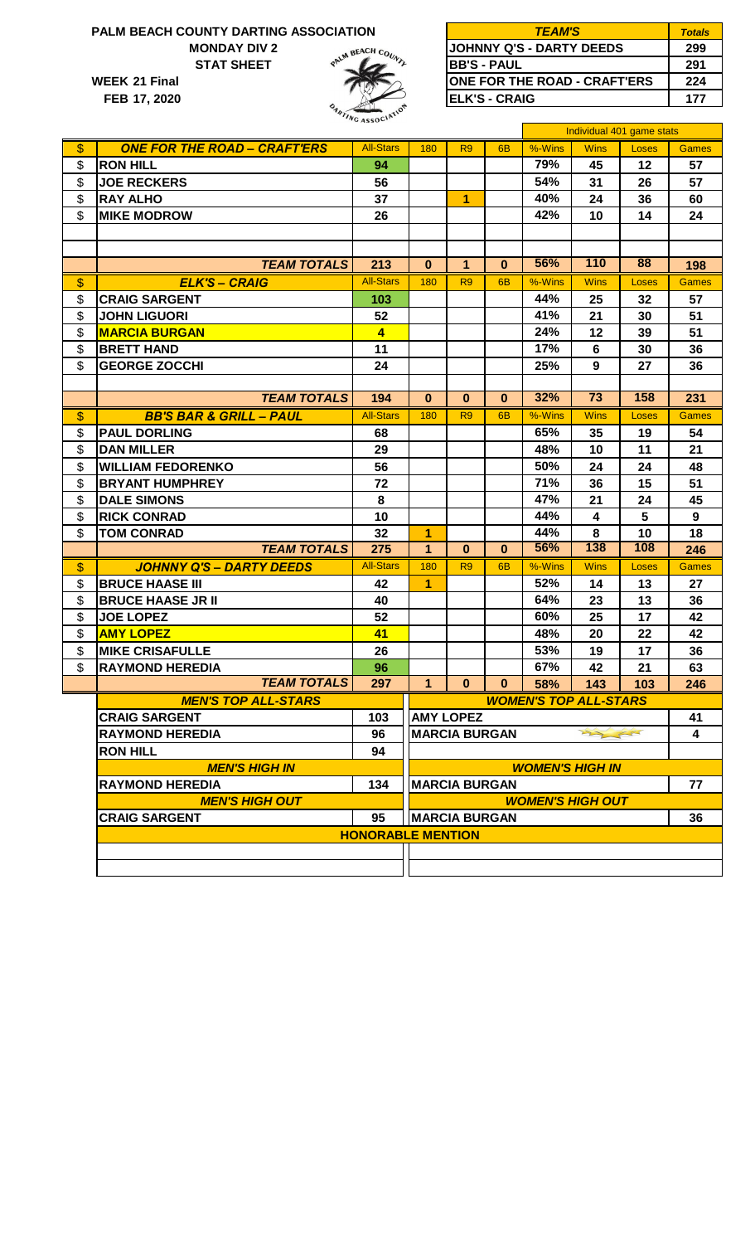## **MONDAY DIV 2 PALM BEACH COUNTY DARTING ASSOCIATION**

**WEEK STAT SHEET**

**FEB 17, 2020**



| <b>BEACH COUNTY DARTING ASSOCIATION</b> | <b>TEAM'S</b>                        | Totals |
|-----------------------------------------|--------------------------------------|--------|
| <b>MONDAY DIV 2</b>                     | <b>JOHNNY Q'S - DARTY DEEDS</b>      | 299    |
| <b>STAT SHEET</b>                       | <b>IBB'S - PAUL</b>                  | 291    |
| 21 Final                                | <b>JONE FOR THE ROAD - CRAFT'ERS</b> | 224    |
| 17, 2020                                | <b>IELK'S - CRAIG</b>                | 177    |

|                                                    |                             |                |                      |                |                              | Individual 401 game stats |       |              |  |
|----------------------------------------------------|-----------------------------|----------------|----------------------|----------------|------------------------------|---------------------------|-------|--------------|--|
| \$<br><b>ONE FOR THE ROAD - CRAFT'ERS</b>          | <b>All-Stars</b>            | 180            | R <sub>9</sub>       | 6 <sub>B</sub> | $%-Wins$                     | <b>Wins</b>               | Loses | <b>Games</b> |  |
| \$<br><b>RON HILL</b>                              | 94                          |                |                      |                | 79%                          | 45                        | 12    | 57           |  |
| \$<br><b>JOE RECKERS</b>                           | 56                          |                |                      |                | 54%                          | 31                        | 26    | 57           |  |
| \$<br><b>RAY ALHO</b>                              | 37                          |                | $\overline{1}$       |                | 40%                          | 24                        | 36    | 60           |  |
| \$<br><b>MIKE MODROW</b>                           | 26                          |                |                      |                | 42%                          | 10                        | 14    | 24           |  |
|                                                    |                             |                |                      |                |                              |                           |       |              |  |
|                                                    |                             |                |                      |                |                              |                           |       |              |  |
| <b>TEAM TOTALS</b>                                 | 213                         | 0              | 1                    | $\bf{0}$       | 56%                          | 110                       | 88    | 198          |  |
| \$<br><b>ELK'S - CRAIG</b>                         | <b>All-Stars</b>            | 180            | R <sub>9</sub>       | 6 <sub>B</sub> | %-Wins                       | <b>Wins</b>               | Loses | <b>Games</b> |  |
| \$<br><b>CRAIG SARGENT</b>                         | 103                         |                |                      |                | 44%                          | 25                        | 32    | 57           |  |
| \$<br><b>JOHN LIGUORI</b>                          | 52                          |                |                      |                | 41%                          | 21                        | 30    | 51           |  |
| \$<br><b>MARCIA BURGAN</b>                         | $\overline{4}$              |                |                      |                | 24%                          | 12                        | 39    | 51           |  |
| \$<br><b>BRETT HAND</b>                            | 11                          |                |                      |                | 17%                          | 6                         | 30    | 36           |  |
| \$<br><b>GEORGE ZOCCHI</b>                         | 24                          |                |                      |                | 25%                          | 9                         | 27    | 36           |  |
|                                                    |                             |                |                      |                |                              |                           |       |              |  |
| <b>TEAM TOTALS</b>                                 | 194                         | $\bf{0}$       | $\bf{0}$             | $\mathbf{0}$   | 32%                          | $\overline{73}$           | 158   | 231          |  |
| \$<br><b>BB'S BAR &amp; GRILL - PAUL</b>           | <b>All-Stars</b>            | 180            | R <sub>9</sub>       | 6 <sub>B</sub> | %-Wins                       | <b>Wins</b>               | Loses | <b>Games</b> |  |
| \$<br><b>PAUL DORLING</b>                          | 68                          |                |                      |                | 65%                          | 35                        | 19    | 54           |  |
| \$<br><b>DAN MILLER</b>                            | 29                          |                |                      |                | 48%                          | 10                        | 11    | 21           |  |
| \$<br><b>WILLIAM FEDORENKO</b>                     | 56                          |                |                      |                | 50%                          | 24                        | 24    | 48           |  |
| \$<br><b>BRYANT HUMPHREY</b>                       | 72                          |                |                      |                | 71%                          | 36                        | 15    | 51           |  |
| \$<br><b>DALE SIMONS</b>                           | 8                           |                |                      |                | 47%                          | 21                        | 24    | 45           |  |
| \$<br><b>RICK CONRAD</b>                           | 10                          |                |                      |                | 44%                          | 4                         | 5     | 9            |  |
| \$<br><b>TOM CONRAD</b>                            | 32                          | 1              |                      |                | 44%                          | 8                         | 10    | 18           |  |
| <b>TEAM TOTALS</b>                                 | 275                         | 1              | $\mathbf{0}$         | $\bf{0}$       | 56%                          | 138                       | 108   | 246          |  |
| \$<br><b>JOHNNY Q'S - DARTY DEEDS</b>              | <b>All-Stars</b>            | 180            | R <sub>9</sub>       | 6 <sub>B</sub> | %-Wins                       | <b>Wins</b>               | Loses | <b>Games</b> |  |
| \$<br><b>BRUCE HAASE III</b>                       | 42                          | $\overline{1}$ |                      |                | 52%                          | 14                        | 13    | 27           |  |
| \$<br><b>BRUCE HAASE JR II</b>                     | 40                          |                |                      |                | 64%                          | 23                        | 13    | 36           |  |
| \$<br><b>JOE LOPEZ</b>                             | 52                          |                |                      |                | 60%                          | 25                        | 17    | 42           |  |
| \$<br><b>AMY LOPEZ</b>                             | 41                          |                |                      |                | 48%                          | 20                        | 22    | 42           |  |
| \$<br><b>MIKE CRISAFULLE</b>                       | 26                          |                |                      |                | 53%                          | 19                        | 17    | 36           |  |
| \$<br><b>RAYMOND HEREDIA</b>                       | 96                          |                |                      |                | 67%                          | 42                        | 21    | 63           |  |
| <b>TEAM TOTALS</b>                                 | 297                         | 1              | 0                    | $\mathbf{0}$   | 58%                          | 143                       | 103   | 246          |  |
| <b>MEN'S TOP ALL-STARS</b>                         |                             |                |                      |                | <b>WOMEN'S TOP ALL-STARS</b> |                           |       |              |  |
| <b>CRAIG SARGENT</b>                               | 103                         |                | <b>AMY LOPEZ</b>     |                |                              |                           |       | 41           |  |
| <b>RAYMOND HEREDIA</b>                             | 96                          |                | <b>MARCIA BURGAN</b> |                |                              | 22 55                     |       | 4            |  |
| <b>RON HILL</b>                                    | 94                          |                |                      |                |                              |                           |       |              |  |
| <b>MEN'S HIGH IN</b>                               | <b>WOMEN'S HIGH IN</b>      |                |                      |                |                              |                           |       |              |  |
| <b>RAYMOND HEREDIA</b>                             | <b>MARCIA BURGAN</b><br>134 |                |                      |                |                              |                           | 77    |              |  |
| <b>MEN'S HIGH OUT</b><br><b>WOMEN'S HIGH OUT</b>   |                             |                |                      |                |                              |                           |       |              |  |
| <b>CRAIG SARGENT</b><br>95<br><b>MARCIA BURGAN</b> |                             |                |                      |                |                              |                           |       | 36           |  |
|                                                    | <b>HONORABLE MENTION</b>    |                |                      |                |                              |                           |       |              |  |
|                                                    |                             |                |                      |                |                              |                           |       |              |  |
|                                                    |                             |                |                      |                |                              |                           |       |              |  |
|                                                    |                             |                |                      |                |                              |                           |       |              |  |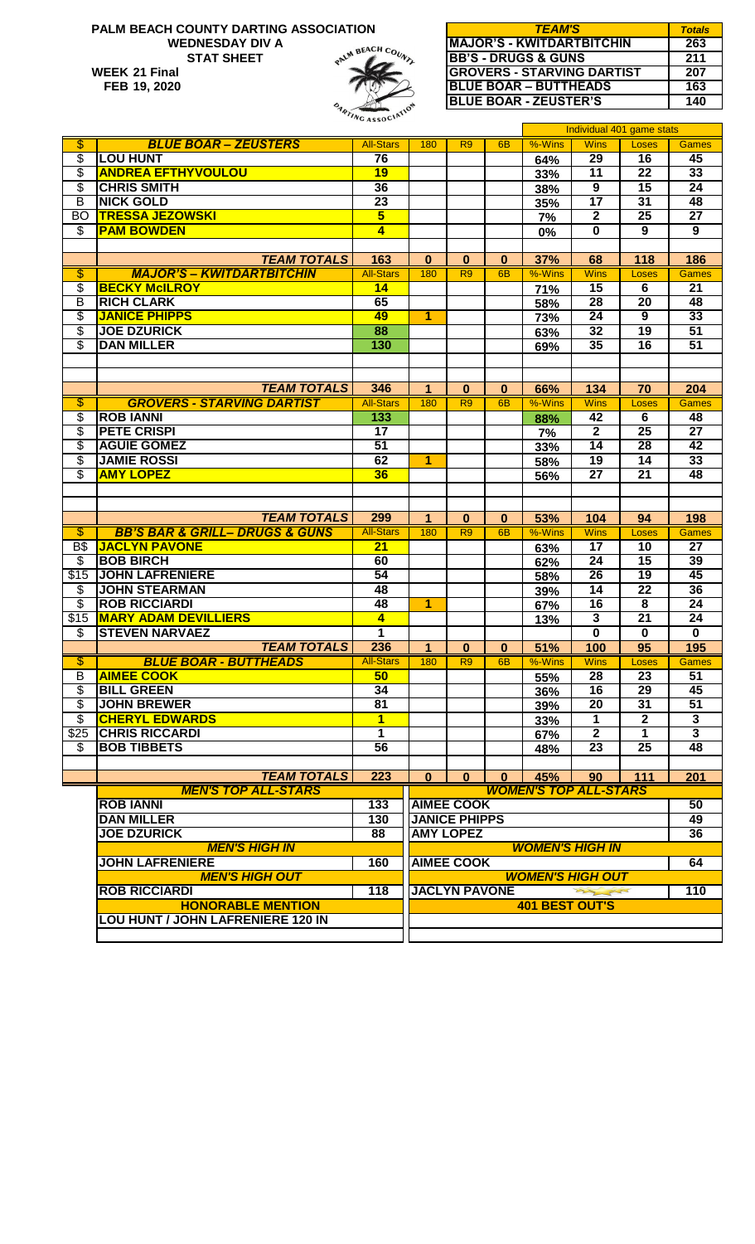#### **PALM BEACH COUNTY DARTING ASSOCIATION WEDNESDAY DIV A** PALM BEACH COUNTY **STAT SHEET WEEK 21 Final 207 CROVERS - STARVING DARTIST 207 FEB 19, 2020**

| <i>TEAM'S</i>                     | <b>Totals</b> |
|-----------------------------------|---------------|
| <b>MAJOR'S - KWITDARTBITCHIN</b>  | 263           |
| <b>IBB'S - DRUGS &amp; GUNS</b>   | 211           |
| <b>GROVERS - STARVING DARTIST</b> | 207           |
| <b>BLUE BOAR - BUTTHEADS</b>      | 163           |
| <b>BLUE BOAR - ZEUSTER'S</b>      | 140           |

|                          |                                               | $\sim$ ASSO $\sim$      |                                       |                      |                |                              | Individual 401 game stats |                         |                           |
|--------------------------|-----------------------------------------------|-------------------------|---------------------------------------|----------------------|----------------|------------------------------|---------------------------|-------------------------|---------------------------|
| $\overline{\mathbb{S}}$  | <b>BLUE BOAR - ZEUSTERS</b>                   | <b>All-Stars</b>        | 180                                   | R <sub>9</sub>       | 6 <sub>B</sub> | $%-Wins$                     | <b>Wins</b>               | Loses                   | <b>Games</b>              |
| \$                       | <b>LOU HUNT</b>                               | 76                      |                                       |                      |                | 64%                          | 29                        | 16                      | 45                        |
| \$                       | <b>ANDREA EFTHYVOULOU</b>                     | 19                      |                                       |                      |                | 33%                          | 11                        | $\overline{22}$         | 33                        |
| \$                       | <b>CHRIS SMITH</b>                            | 36                      |                                       |                      |                | 38%                          | $\overline{9}$            | $\overline{15}$         | $\overline{24}$           |
| $\overline{B}$           | <b>NICK GOLD</b>                              | 23                      |                                       |                      |                | 35%                          | $\overline{17}$           | $\overline{31}$         | 48                        |
| BO                       | <b>TRESSA JEZOWSKI</b>                        | $\overline{\mathbf{5}}$ |                                       |                      |                | 7%                           | $\mathbf{2}$              | $\overline{25}$         | $\overline{27}$           |
| $\overline{\mathcal{G}}$ | <b>PAM BOWDEN</b>                             | $\overline{\mathbf{4}}$ |                                       |                      |                | 0%                           | $\bf{0}$                  | 9                       | $\overline{9}$            |
|                          |                                               |                         |                                       |                      |                |                              |                           |                         |                           |
|                          | <b>TEAM TOTALS</b>                            | 163                     | $\bf{0}$                              | $\mathbf{0}$         | $\bf{0}$       | 37%                          | 68                        | 118                     | 186                       |
| $\overline{\mathbb{S}}$  | <b>MAJOR'S - KWITDARTBITCHIN</b>              | <b>All-Stars</b>        | 180                                   | R <sub>9</sub>       | 6 <sub>B</sub> | %-Wins                       | <b>Wins</b>               | Loses                   | Games                     |
| \$                       | <b>BECKY McILROY</b>                          | 14                      |                                       |                      |                | 71%                          | 15                        | 6                       | $\overline{21}$           |
| B                        | <b>RICH CLARK</b>                             | 65                      |                                       |                      |                | 58%                          | 28                        | 20                      | 48                        |
| S                        | <b>JANICE PHIPPS</b>                          | 49                      | 1                                     |                      |                | 73%                          | 24                        | $\overline{9}$          | 33                        |
| \$                       | <b>JOE DZURICK</b>                            | 88                      |                                       |                      |                | 63%                          | 32                        | $\overline{19}$         | 51                        |
| \$                       | <b>DAN MILLER</b>                             | 130                     |                                       |                      |                | 69%                          | 35                        | 16                      | 51                        |
|                          |                                               |                         |                                       |                      |                |                              |                           |                         |                           |
|                          |                                               |                         |                                       |                      |                |                              |                           |                         |                           |
|                          | <b>TEAM TOTALS</b>                            | 346                     | $\mathbf 1$                           | $\bf{0}$             | $\bf{0}$       | 66%                          | 134                       | 70                      | 204                       |
| $\overline{\mathbb{S}}$  | <b>GROVERS - STARVING DARTIST</b>             | <b>All-Stars</b>        | 180                                   | R <sub>9</sub>       | 6 <sub>B</sub> | %-Wins                       | <b>Wins</b>               | Loses                   | <b>Games</b>              |
| \$                       | <b>ROB IANNI</b>                              | 133                     |                                       |                      |                | 88%                          | 42                        | $\overline{6}$          | 48                        |
| \$                       | <b>PETE CRISPI</b>                            | $\overline{17}$         |                                       |                      |                | 7%                           | $\overline{2}$            | 25                      | $\overline{27}$           |
| \$                       | <b>AGUIE GOMEZ</b>                            | 51                      |                                       |                      |                | 33%                          | $\overline{14}$           | $\overline{28}$         | $\overline{42}$           |
| \$                       | <b>JAMIE ROSSI</b>                            | 62                      | 1                                     |                      |                | 58%                          | 19                        | $\overline{14}$         | 33                        |
| \$                       | <b>AMY LOPEZ</b>                              | 36                      |                                       |                      |                | 56%                          | $\overline{27}$           | $\overline{21}$         | 48                        |
|                          |                                               |                         |                                       |                      |                |                              |                           |                         |                           |
|                          |                                               |                         |                                       |                      |                |                              |                           |                         |                           |
|                          | <b>TEAM TOTALS</b>                            | 299                     | $\blacktriangleleft$                  | $\bf{0}$             | $\bf{0}$       | 53%                          | 104                       | 94                      | 198                       |
| $\overline{\$}$          | <b>BB'S BAR &amp; GRILL- DRUGS &amp; GUNS</b> | <b>All-Stars</b>        | 180                                   | R <sub>9</sub>       | 6 <sub>B</sub> | %-Wins                       | <b>Wins</b>               | <b>Loses</b>            | Games                     |
| <b>B\$</b>               | <b>JACLYN PAVONE</b>                          | $\overline{21}$         |                                       |                      |                | 63%                          | $\overline{17}$           | 10                      | $\overline{27}$           |
| \$                       | <b>BOB BIRCH</b>                              | 60                      |                                       |                      |                | 62%                          | $\overline{24}$           | $\overline{15}$         | 39                        |
| \$15                     | <b>JOHN LAFRENIERE</b>                        | 54                      |                                       |                      |                | 58%                          | $\overline{26}$           | $\overline{19}$         | 45                        |
| \$                       | <b>JOHN STEARMAN</b>                          | 48                      |                                       |                      |                | 39%                          | $\overline{14}$           | $\overline{22}$         | 36                        |
| \$                       | <b>ROB RICCIARDI</b>                          | 48                      | $\overline{\mathbf{1}}$               |                      |                | 67%                          | 16                        | $\overline{\mathbf{8}}$ | 24                        |
| \$15                     | <b>MARY ADAM DEVILLIERS</b>                   | $\overline{\mathbf{4}}$ |                                       |                      |                | 13%                          | $\overline{\mathbf{3}}$   | $\overline{21}$         | 24                        |
| \$                       | <b>STEVEN NARVAEZ</b>                         | 1                       |                                       |                      |                |                              | $\overline{\mathbf{0}}$   | $\mathbf 0$             | $\bf{0}$                  |
|                          | <b>TEAM TOTALS</b>                            | 236                     | $\mathbf 1$                           | $\bf{0}$             | 0              | 51%                          | 100                       | $\overline{95}$         | 195                       |
| $\overline{\$}$          | <b>BLUE BOAR - BUTTHEADS</b>                  | <b>All-Stars</b>        | 180                                   | R <sub>9</sub>       | 6 <sub>B</sub> | %-Wins                       | <b>Wins</b>               | Loses                   | <b>Games</b>              |
| ь                        | <b>AIMEE COOK</b>                             | 50                      |                                       |                      |                | 55%                          | 28                        | 23                      | 51                        |
| \$                       | <b>BILL GREEN</b>                             | 34                      |                                       |                      |                | 36%                          | 16                        | $\overline{29}$         | 45                        |
| $\overline{\$}$          | <b>JOHN BREWER</b>                            | $\overline{81}$         |                                       |                      |                | 39%                          | 20                        | $\overline{31}$         | 51                        |
| $\overline{\$}$          | <b>CHERYL EDWARDS</b>                         | $\overline{1}$          |                                       |                      |                | 33%                          | $\mathbf 1$               | $\overline{\mathbf{2}}$ | $\overline{\mathbf{3}}$   |
| \$25                     | <b>CHRIS RICCARDI</b>                         | $\overline{1}$          |                                       |                      |                | 67%                          | $\overline{2}$            | $\overline{1}$          | $\overline{\overline{3}}$ |
| \$                       | <b>BOB TIBBETS</b>                            | 56                      |                                       |                      |                | 48%                          | 23                        | $\overline{25}$         | 48                        |
|                          |                                               |                         |                                       |                      |                |                              |                           |                         |                           |
|                          | <b>TEAM TOTALS</b>                            | 223                     | $\mathbf{0}$                          | $\mathbf{0}$         | $\mathbf{0}$   | 45%                          | 90                        | 111                     | 201                       |
|                          | <b>MEN'S TOP ALL-STARS</b>                    |                         |                                       |                      |                | <b>WOMEN'S TOP ALL-STARS</b> |                           |                         |                           |
|                          | <b>ROB IANNI</b>                              | 133                     |                                       | <b>AIMEE COOK</b>    |                |                              |                           |                         | 50                        |
|                          | <b>DAN MILLER</b>                             | 130                     |                                       | <b>JANICE PHIPPS</b> |                |                              |                           |                         | 49                        |
|                          | <b>JOE DZURICK</b><br><b>AMY LOPEZ</b><br>88  |                         |                                       |                      |                |                              | 36                        |                         |                           |
|                          | <b>MEN'S HIGH IN</b>                          | <b>WOMEN'S HIGH IN</b>  |                                       |                      |                |                              |                           |                         |                           |
|                          | <b>JOHN LAFRENIERE</b>                        | 160                     |                                       | <b>AIMEE COOK</b>    |                |                              |                           |                         | 64                        |
|                          | <b>MEN'S HIGH OUT</b>                         | <b>WOMEN'S HIGH OUT</b> |                                       |                      |                |                              |                           |                         |                           |
|                          | <b>ROB RICCIARDI</b>                          | 118                     | 110<br><b>JACLYN PAVONE</b><br>my for |                      |                |                              |                           |                         |                           |
|                          | <b>HONORABLE MENTION</b>                      |                         |                                       |                      |                | <b>401 BEST OUT'S</b>        |                           |                         |                           |
|                          | <b>LOU HUNT / JOHN LAFRENIERE 120 IN</b>      |                         |                                       |                      |                |                              |                           |                         |                           |
|                          |                                               |                         |                                       |                      |                |                              |                           |                         |                           |